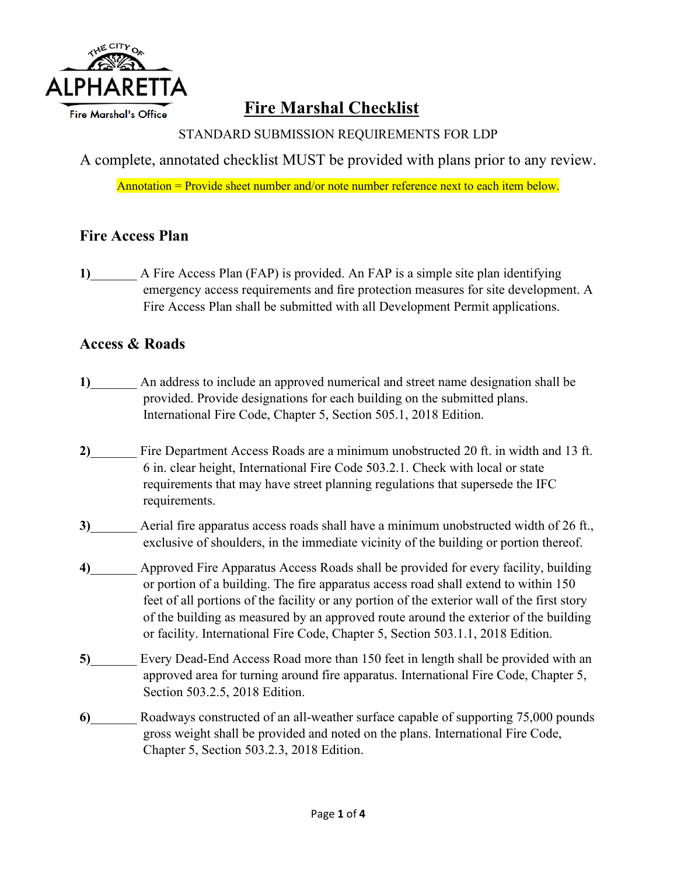

# **Fire Marshal Checklist**

STANDARD SUBMISSION REQUIREMENTS FOR LDP

A complete, annotated checklist MUST be provided with plans prior to any review.

Annotation  $=$  Provide sheet number and/or note number reference next to each item below.

## **Fire Access Plan**

**1)**\_\_\_\_\_\_\_ A Fire Access Plan (FAP) is provided. An FAP is a simple site plan identifying emergency access requirements and fire protection measures for site development. A Fire Access Plan shall be submitted with all Development Permit applications.

### **Access & Roads**

- 1) An address to include an approved numerical and street name designation shall be provided. Provide designations for each building on the submitted plans. International Fire Code, Chapter 5, Section 505.1, 2018 Edition.
- **2)**\_\_\_\_\_\_\_ Fire Department Access Roads are a minimum unobstructed 20 ft. in width and 13 ft. 6 in. clear height, International Fire Code 503.2.1. Check with local or state requirements that may have street planning regulations that supersede the IFC requirements.
- **3)**\_\_\_\_\_\_\_ Aerial fire apparatus access roads shall have a minimum unobstructed width of 26 ft., exclusive of shoulders, in the immediate vicinity of the building or portion thereof.
- **4)**\_\_\_\_\_\_\_ Approved Fire Apparatus Access Roads shall be provided for every facility, building or portion of a building. The fire apparatus access road shall extend to within 150 feet of all portions of the facility or any portion of the exterior wall of the first story of the building as measured by an approved route around the exterior of the building or facility. International Fire Code, Chapter 5, Section 503.1.1, 2018 Edition.
- 5) Every Dead-End Access Road more than 150 feet in length shall be provided with an approved area for turning around fire apparatus. International Fire Code, Chapter 5, Section 503.2.5, 2018 Edition.
- **6)**\_\_\_\_\_\_\_ Roadways constructed of an all-weather surface capable of supporting 75,000 pounds gross weight shall be provided and noted on the plans. International Fire Code, Chapter 5, Section 503.2.3, 2018 Edition.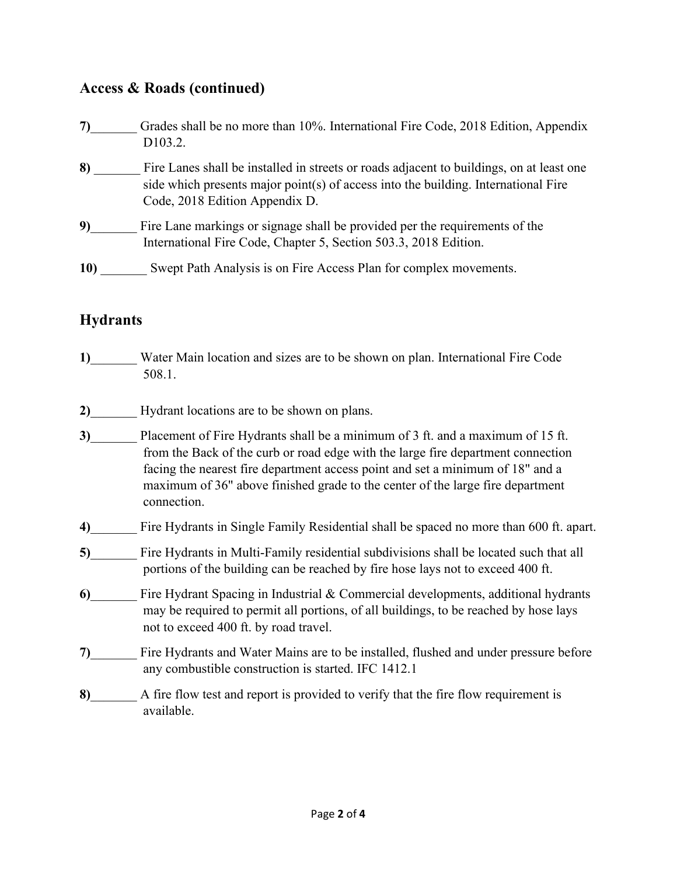### **Access & Roads (continued)**

| 7)  | Grades shall be no more than 10%. International Fire Code, 2018 Edition, Appendix<br>D <sub>103.2</sub> .                                                                                                        |
|-----|------------------------------------------------------------------------------------------------------------------------------------------------------------------------------------------------------------------|
| 8)  | Fire Lanes shall be installed in streets or roads adjacent to buildings, on at least one<br>side which presents major point(s) of access into the building. International Fire<br>Code, 2018 Edition Appendix D. |
| 9)  | Fire Lane markings or signage shall be provided per the requirements of the<br>International Fire Code, Chapter 5, Section 503.3, 2018 Edition.                                                                  |
| 10) | Swept Path Analysis is on Fire Access Plan for complex movements.                                                                                                                                                |

## **Hydrants**

- **1)**\_\_\_\_\_\_\_ Water Main location and sizes are to be shown on plan. International Fire Code 508.1.
- **2)**\_\_\_\_\_\_\_ Hydrant locations are to be shown on plans.
- **3)**\_\_\_\_\_\_\_ Placement of Fire Hydrants shall be a minimum of 3 ft. and a maximum of 15 ft. from the Back of the curb or road edge with the large fire department connection facing the nearest fire department access point and set a minimum of 18" and a maximum of 36" above finished grade to the center of the large fire department connection.
- **4)**\_\_\_\_\_\_\_ Fire Hydrants in Single Family Residential shall be spaced no more than 600 ft. apart.
- **5)**\_\_\_\_\_\_\_ Fire Hydrants in Multi-Family residential subdivisions shall be located such that all portions of the building can be reached by fire hose lays not to exceed 400 ft.
- **6)**\_\_\_\_\_\_\_ Fire Hydrant Spacing in Industrial & Commercial developments, additional hydrants may be required to permit all portions, of all buildings, to be reached by hose lays not to exceed 400 ft. by road travel.
- **7)**\_\_\_\_\_\_\_ Fire Hydrants and Water Mains are to be installed, flushed and under pressure before any combustible construction is started. IFC 1412.1
- **8)**\_\_\_\_\_\_\_ A fire flow test and report is provided to verify that the fire flow requirement is available.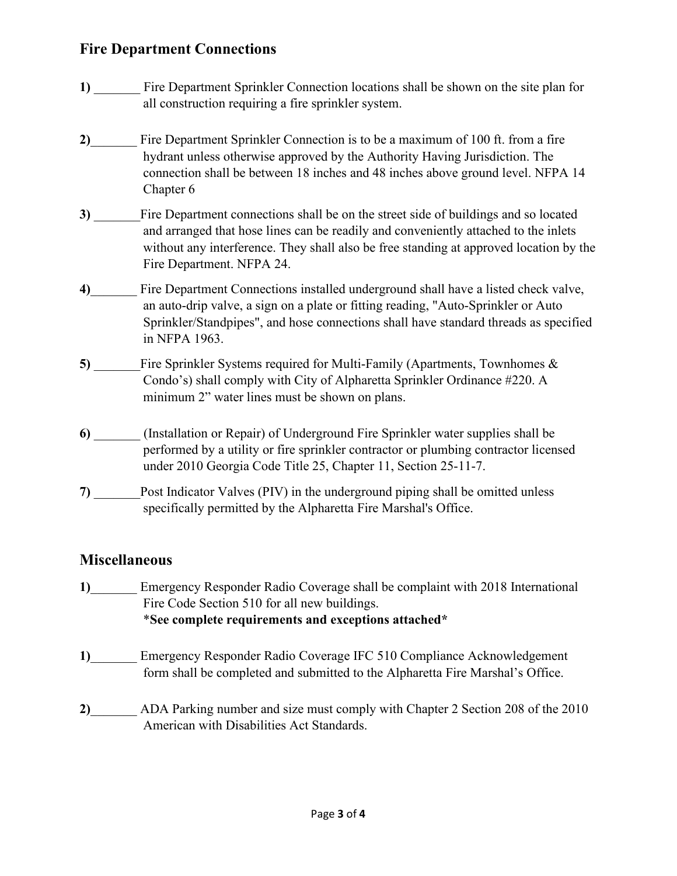### **Fire Department Connections**

- **1)** \_\_\_\_\_\_\_ Fire Department Sprinkler Connection locations shall be shown on the site plan for all construction requiring a fire sprinkler system.
- **2)**\_\_\_\_\_\_\_ Fire Department Sprinkler Connection is to be a maximum of 100 ft. from a fire hydrant unless otherwise approved by the Authority Having Jurisdiction. The connection shall be between 18 inches and 48 inches above ground level. NFPA 14 Chapter 6
- **3**) Fire Department connections shall be on the street side of buildings and so located and arranged that hose lines can be readily and conveniently attached to the inlets without any interference. They shall also be free standing at approved location by the Fire Department. NFPA 24.
- **4)**\_\_\_\_\_\_\_ Fire Department Connections installed underground shall have a listed check valve, an auto-drip valve, a sign on a plate or fitting reading, "Auto-Sprinkler or Auto Sprinkler/Standpipes", and hose connections shall have standard threads as specified in NFPA 1963.
- **5)** \_\_\_\_\_\_\_Fire Sprinkler Systems required for Multi-Family (Apartments, Townhomes & Condo's) shall comply with City of Alpharetta Sprinkler Ordinance #220. A minimum 2" water lines must be shown on plans.
- **6)** \_\_\_\_\_\_\_ (Installation or Repair) of Underground Fire Sprinkler water supplies shall be performed by a utility or fire sprinkler contractor or plumbing contractor licensed under 2010 Georgia Code Title 25, Chapter 11, Section 25-11-7.
- **7)** Post Indicator Valves (PIV) in the underground piping shall be omitted unless specifically permitted by the Alpharetta Fire Marshal's Office.

### **Miscellaneous**

- 1) Emergency Responder Radio Coverage shall be complaint with 2018 International Fire Code Section 510 for all new buildings. \***See complete requirements and exceptions attached\***
- **1)**\_\_\_\_\_\_\_ Emergency Responder Radio Coverage IFC 510 Compliance Acknowledgement form shall be completed and submitted to the Alpharetta Fire Marshal's Office.
- **2)**\_\_\_\_\_\_\_ ADA Parking number and size must comply with Chapter 2 Section 208 of the 2010 American with Disabilities Act Standards.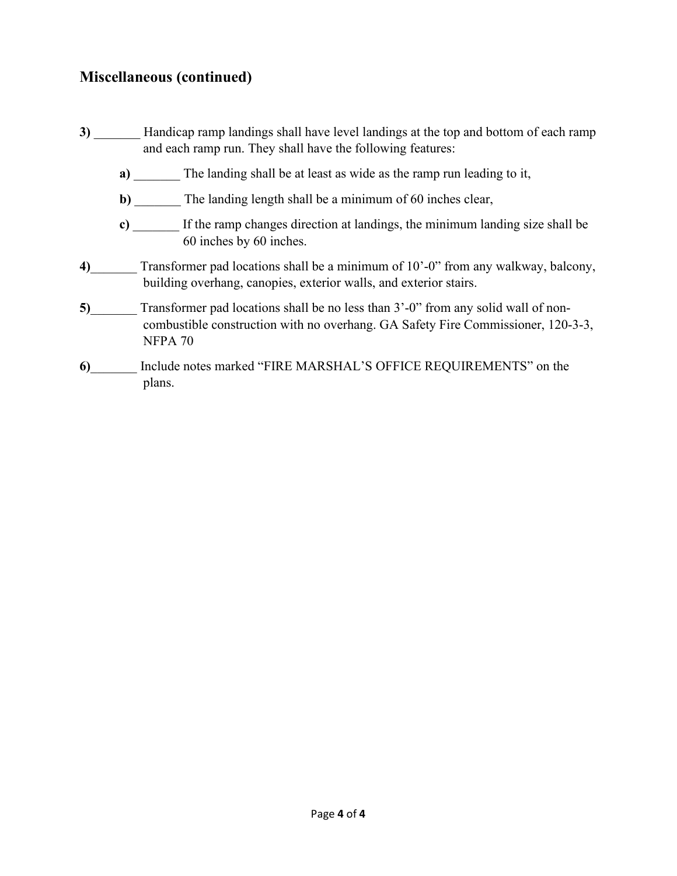## **Miscellaneous (continued)**

- **3**) Handicap ramp landings shall have level landings at the top and bottom of each ramp and each ramp run. They shall have the following features:
	- **a**) The landing shall be at least as wide as the ramp run leading to it,
	- **b**) The landing length shall be a minimum of 60 inches clear,
	- **c)** \_\_\_\_\_\_\_ If the ramp changes direction at landings, the minimum landing size shall be 60 inches by 60 inches.
- **4)**\_\_\_\_\_\_\_ Transformer pad locations shall be a minimum of 10'-0" from any walkway, balcony, building overhang, canopies, exterior walls, and exterior stairs.
- **5)** Transformer pad locations shall be no less than 3'-0" from any solid wall of noncombustible construction with no overhang. GA Safety Fire Commissioner, 120-3-3, NFPA 70
- **6)**\_\_\_\_\_\_\_ Include notes marked "FIRE MARSHAL'S OFFICE REQUIREMENTS" on the plans.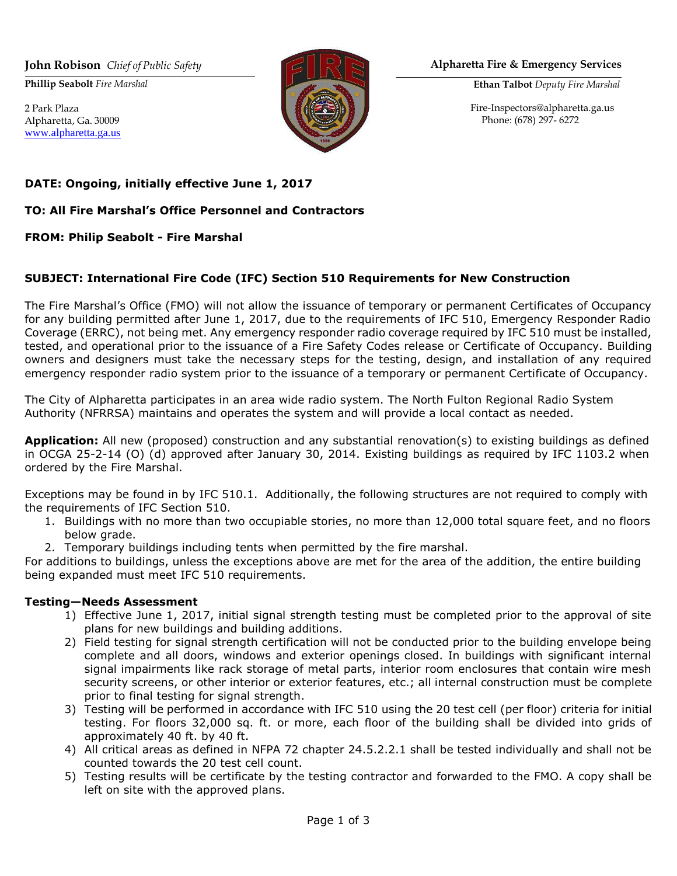**Phillip Seabolt** *Fire Marshal*

2 Park Plaza Alpharetta, Ga. 30009 [www.alpharetta.ga.us](http://www.alpharetta.ga.us/)



#### **John Robison** *Chief of Public Safety* **Alpharetta Fire & Emergency Services**

**Ethan Talbot** *Deputy Fire Marshal*

[Fire-Inspectors@alpharetta.ga.u](mailto:Fire-Inspectors@alpharetta.ga.us)s Phone: (678) 297- 6272

### **DATE: Ongoing, initially effective June 1, 2017**

#### **TO: All Fire Marshal's Office Personnel and Contractors**

#### **FROM: Philip Seabolt - Fire Marshal**

#### **SUBJECT: International Fire Code (IFC) Section 510 Requirements for New Construction**

The Fire Marshal's Office (FMO) will not allow the issuance of temporary or permanent Certificates of Occupancy for any building permitted after June 1, 2017, due to the requirements of IFC 510, Emergency Responder Radio Coverage (ERRC), not being met. Any emergency responder radio coverage required by IFC 510 must be installed, tested, and operational prior to the issuance of a Fire Safety Codes release or Certificate of Occupancy. Building owners and designers must take the necessary steps for the testing, design, and installation of any required emergency responder radio system prior to the issuance of a temporary or permanent Certificate of Occupancy.

The City of Alpharetta participates in an area wide radio system. The North Fulton Regional Radio System Authority (NFRRSA) maintains and operates the system and will provide a local contact as needed.

**Application:** All new (proposed) construction and any substantial renovation(s) to existing buildings as defined in OCGA 25-2-14 (O) (d) approved after January 30, 2014. Existing buildings as required by IFC 1103.2 when ordered by the Fire Marshal.

Exceptions may be found in by IFC 510.1. Additionally, the following structures are not required to comply with the requirements of IFC Section 510.

- 1. Buildings with no more than two occupiable stories, no more than 12,000 total square feet, and no floors below grade.
- 2. Temporary buildings including tents when permitted by the fire marshal.

For additions to buildings, unless the exceptions above are met for the area of the addition, the entire building being expanded must meet IFC 510 requirements.

#### **Testing—Needs Assessment**

- 1) Effective June 1, 2017, initial signal strength testing must be completed prior to the approval of site plans for new buildings and building additions.
- 2) Field testing for signal strength certification will not be conducted prior to the building envelope being complete and all doors, windows and exterior openings closed. In buildings with significant internal signal impairments like rack storage of metal parts, interior room enclosures that contain wire mesh security screens, or other interior or exterior features, etc.; all internal construction must be complete prior to final testing for signal strength.
- 3) Testing will be performed in accordance with IFC 510 using the 20 test cell (per floor) criteria for initial testing. For floors 32,000 sq. ft. or more, each floor of the building shall be divided into grids of approximately 40 ft. by 40 ft.
- 4) All critical areas as defined in NFPA 72 chapter 24.5.2.2.1 shall be tested individually and shall not be counted towards the 20 test cell count.
- 5) Testing results will be certificate by the testing contractor and forwarded to the FMO. A copy shall be left on site with the approved plans.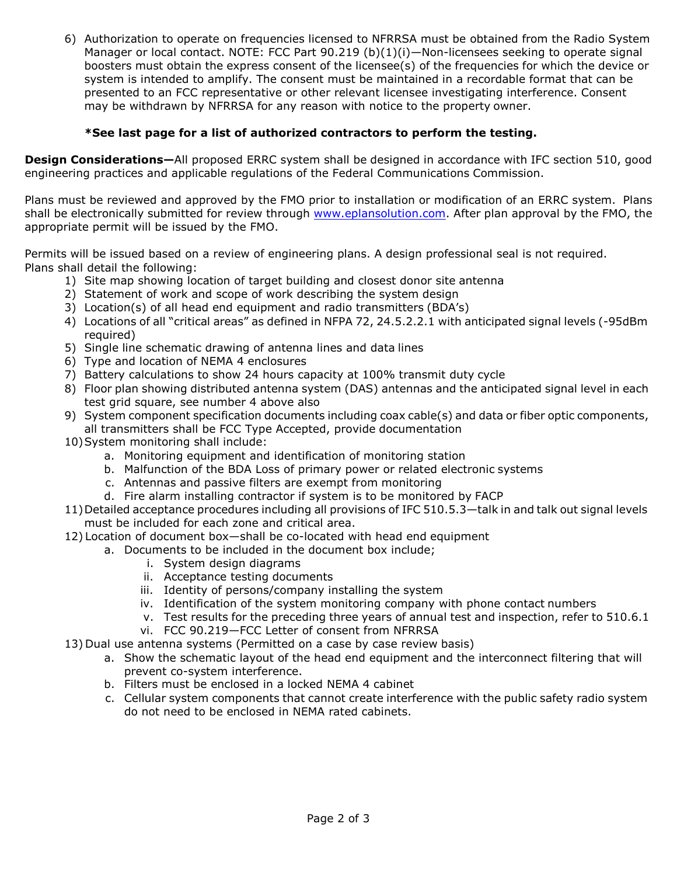6) Authorization to operate on frequencies licensed to NFRRSA must be obtained from the Radio System Manager or local contact. NOTE: FCC Part 90.219 (b)(1)(i)-Non-licensees seeking to operate signal boosters must obtain the express consent of the licensee(s) of the frequencies for which the device or system is intended to amplify. The consent must be maintained in a recordable format that can be presented to an FCC representative or other relevant licensee investigating interference. Consent may be withdrawn by NFRRSA for any reason with notice to the property owner.

### **\*See last page for a list of authorized contractors to perform the testing.**

**Design Considerations—**All proposed ERRC system shall be designed in accordance with IFC section 510, good engineering practices and applicable regulations of the Federal Communications Commission.

Plans must be reviewed and approved by the FMO prior to installation or modification of an ERRC system. Plans shall be electronically submitted for review through [www.eplansolution.com.](file:///C:/Users/chall.ALPHA/AppData/Local/Microsoft/Windows/INetCache/Content.Outlook/3NRGTWPP/www.eplansolution.com) After plan approval by the FMO, the appropriate permit will be issued by the FMO.

Permits will be issued based on a review of engineering plans. A design professional seal is not required. Plans shall detail the following:

- 1) Site map showing location of target building and closest donor site antenna
- 2) Statement of work and scope of work describing the system design
- 3) Location(s) of all head end equipment and radio transmitters (BDA's)
- 4) Locations of all "critical areas" as defined in NFPA 72, 24.5.2.2.1 with anticipated signal levels (-95dBm required)
- 5) Single line schematic drawing of antenna lines and data lines
- 6) Type and location of NEMA 4 enclosures
- 7) Battery calculations to show 24 hours capacity at 100% transmit duty cycle
- 8) Floor plan showing distributed antenna system (DAS) antennas and the anticipated signal level in each test grid square, see number 4 above also
- 9) System component specification documents including coax cable(s) and data or fiber optic components, all transmitters shall be FCC Type Accepted, provide documentation
- 10)System monitoring shall include:
	- a. Monitoring equipment and identification of monitoring station
	- b. Malfunction of the BDA Loss of primary power or related electronic systems
	- c. Antennas and passive filters are exempt from monitoring
	- d. Fire alarm installing contractor if system is to be monitored by FACP
- 11)Detailed acceptance procedures including all provisions of IFC 510.5.3—talk in and talk out signal levels must be included for each zone and critical area.
- 12) Location of document box—shall be co-located with head end equipment
	- a. Documents to be included in the document box include;
		- i. System design diagrams
		- ii. Acceptance testing documents
		- iii. Identity of persons/company installing the system
		- iv. Identification of the system monitoring company with phone contact numbers
		- v. Test results for the preceding three years of annual test and inspection, refer to 510.6.1
		- vi. FCC 90.219—FCC Letter of consent from NFRRSA
- 13) Dual use antenna systems (Permitted on a case by case review basis)
	- a. Show the schematic layout of the head end equipment and the interconnect filtering that will prevent co-system interference.
	- b. Filters must be enclosed in a locked NEMA 4 cabinet
	- c. Cellular system components that cannot create interference with the public safety radio system do not need to be enclosed in NEMA rated cabinets.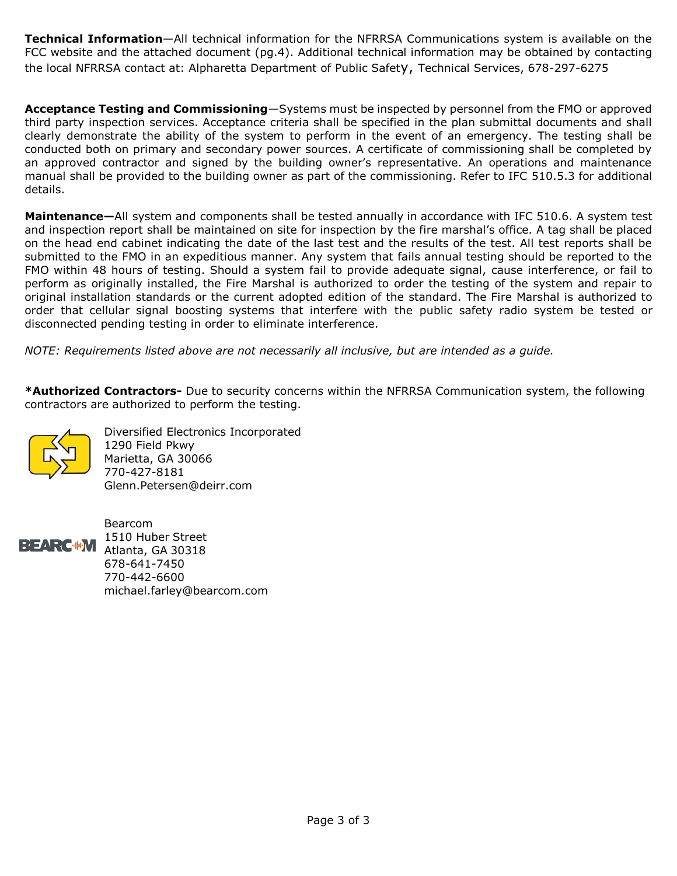**Technical Information**—All technical information for the NFRRSA Communications system is available on the FCC website and the attached document (pg.4). Additional technical information may be obtained by contacting the local NFRRSA contact at: Alpharetta Department of Public Safety, Technical Services, 678-297-6275

**Acceptance Testing and Commissioning**—Systems must be inspected by personnel from the FMO or approved third party inspection services. Acceptance criteria shall be specified in the plan submittal documents and shall clearly demonstrate the ability of the system to perform in the event of an emergency. The testing shall be conducted both on primary and secondary power sources. A certificate of commissioning shall be completed by an approved contractor and signed by the building owner's representative. An operations and maintenance manual shall be provided to the building owner as part of the commissioning. Refer to IFC 510.5.3 for additional details.

**Maintenance—**All system and components shall be tested annually in accordance with IFC 510.6. A system test and inspection report shall be maintained on site for inspection by the fire marshal's office. A tag shall be placed on the head end cabinet indicating the date of the last test and the results of the test. All test reports shall be submitted to the FMO in an expeditious manner. Any system that fails annual testing should be reported to the FMO within 48 hours of testing. Should a system fail to provide adequate signal, cause interference, or fail to perform as originally installed, the Fire Marshal is authorized to order the testing of the system and repair to original installation standards or the current adopted edition of the standard. The Fire Marshal is authorized to order that cellular signal boosting systems that interfere with the public safety radio system be tested or disconnected pending testing in order to eliminate interference.

*NOTE: Requirements listed above are not necessarily all inclusive, but are intended as a guide.* 

**\*Authorized Contractors-** Due to security concerns within the NFRRSA Communication system, the following contractors are authorized to perform the testing.



 Diversified Electronics Incorporated 1290 Field Pkwy Marietta, GA 30066 770-427-8181 [Glenn.Peterse](mailto:Glenn.Petersen@deirr.com)n@deirr.com



 Bearcom **BEARC-IN** 1510 Huber Street Atlanta, GA 30318 678-641-7450 770-442-6600 [michael.farley@](mailto:michael.farley@bearcom.com)bearcom.com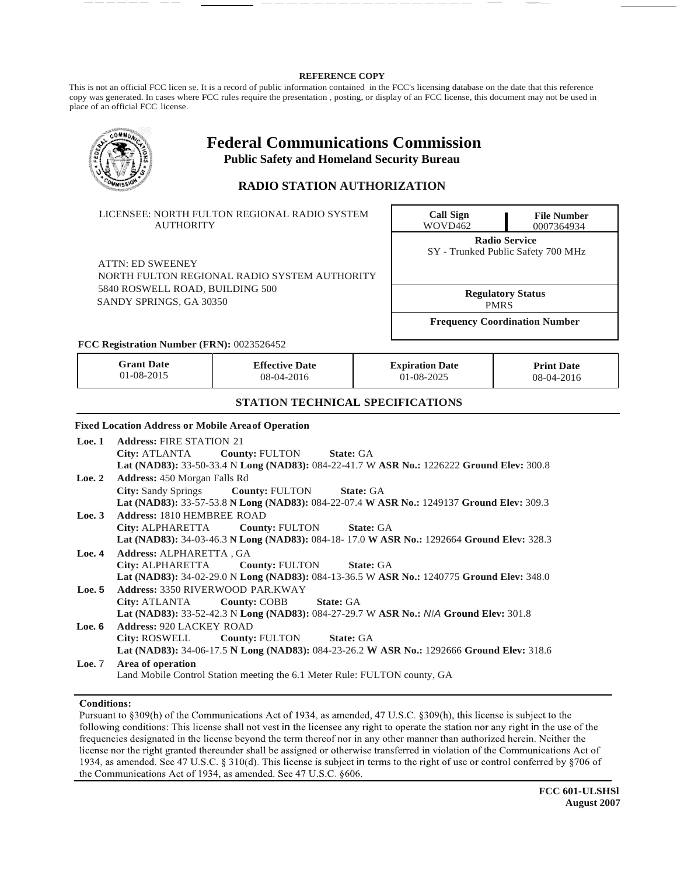#### **REFERENCE COPY**

This is not an official FCC licen se. It is a record of public information contained in the FCC's licensing database on the date that this reference copy was generated. In cases where FCC rules require the presentation , posting, or display of an FCC license, this document may not be used in place of an official FCC license.

------ -- <u>-----</u> ------------------ <del>-</del>- <del>-</del>-

|                                                            |                                                                                                                                                                                                   | <b>Federal Communications Commission</b><br><b>Public Safety and Homeland Security Bureau</b><br><b>RADIO STATION AUTHORIZATION</b> |                                                            |                                         |                                 |  |  |  |
|------------------------------------------------------------|---------------------------------------------------------------------------------------------------------------------------------------------------------------------------------------------------|-------------------------------------------------------------------------------------------------------------------------------------|------------------------------------------------------------|-----------------------------------------|---------------------------------|--|--|--|
|                                                            | <b>AUTHORITY</b>                                                                                                                                                                                  | LICENSEE: NORTH FULTON REGIONAL RADIO SYSTEM                                                                                        | <b>Call Sign</b><br>WOVD462                                | <b>File Number</b><br>0007364934        |                                 |  |  |  |
|                                                            | <b>ATTN: ED SWEENEY</b>                                                                                                                                                                           | NORTH FULTON REGIONAL RADIO SYSTEM AUTHORITY                                                                                        | <b>Radio Service</b><br>SY - Trunked Public Safety 700 MHz |                                         |                                 |  |  |  |
| 5840 ROSWELL ROAD, BUILDING 500<br>SANDY SPRINGS, GA 30350 |                                                                                                                                                                                                   |                                                                                                                                     |                                                            | <b>Regulatory Status</b><br><b>PMRS</b> |                                 |  |  |  |
|                                                            |                                                                                                                                                                                                   |                                                                                                                                     |                                                            | <b>Frequency Coordination Number</b>    |                                 |  |  |  |
|                                                            | FCC Registration Number (FRN): 0023526452                                                                                                                                                         |                                                                                                                                     |                                                            |                                         |                                 |  |  |  |
|                                                            | <b>Grant Date</b><br>01-08-2015                                                                                                                                                                   | <b>Effective Date</b><br>08-04-2016                                                                                                 |                                                            | <b>Expiration Date</b><br>01-08-2025    | <b>Print Date</b><br>08-04-2016 |  |  |  |
|                                                            |                                                                                                                                                                                                   | <b>STATION TECHNICAL SPECIFICATIONS</b>                                                                                             |                                                            |                                         |                                 |  |  |  |
|                                                            | <b>Fixed Location Address or Mobile Area of Operation</b>                                                                                                                                         |                                                                                                                                     |                                                            |                                         |                                 |  |  |  |
| Loc.1                                                      | <b>Address: FIRE STATION 21</b><br>City: ATLANTA<br><b>County: FULTON</b><br><b>State: GA</b><br>Lat (NAD83): 33-50-33.4 N Long (NAD83): 084-22-41.7 W ASR No.: 1226222 Ground Elev: 300.8        |                                                                                                                                     |                                                            |                                         |                                 |  |  |  |
| Loe. $2$                                                   | Address: 450 Morgan Falls Rd<br><b>County: FULTON</b><br>City: Sandy Springs<br><b>State: GA</b><br>Lat (NAD83): 33-57-53.8 N Long (NAD83): 084-22-07.4 W ASR No.: 1249137 Ground Elev: 309.3     |                                                                                                                                     |                                                            |                                         |                                 |  |  |  |
| Loc.3                                                      | <b>Address: 1810 HEMBREE ROAD</b><br>City: ALPHARETTA<br><b>County: FULTON</b><br><b>State: GA</b><br>Lat (NAD83): 34-03-46.3 N Long (NAD83): 084-18-17.0 W ASR No.: 1292664 Ground Elev: 328.3   |                                                                                                                                     |                                                            |                                         |                                 |  |  |  |
| Loe. 4                                                     | Address: ALPHARETTA, GA<br>City: ALPHARETTA<br><b>County: FULTON</b><br>State: GA<br>Lat (NAD83): 34-02-29.0 N Long (NAD83): 084-13-36.5 W ASR No.: 1240775 Ground Elev: 348.0                    |                                                                                                                                     |                                                            |                                         |                                 |  |  |  |
| Loc.5                                                      | <b>Address: 3350 RIVERWOOD PAR.KWAY</b><br>City: ATLANTA<br><b>County: COBB</b><br><b>State: GA</b><br>Lat (NAD83): 33-52-42.3 N Long (NAD83): 084-27-29.7 W ASR No.: N/A Ground Elev: 301.8      |                                                                                                                                     |                                                            |                                         |                                 |  |  |  |
| Loe. 6                                                     | <b>Address: 920 LACKEY ROAD</b><br><b>County: FULTON</b><br><b>City: ROSWELL</b><br><b>State: GA</b><br>Lat (NAD83): 34-06-17.5 N Long (NAD83): 084-23-26.2 W ASR No.: 1292666 Ground Elev: 318.6 |                                                                                                                                     |                                                            |                                         |                                 |  |  |  |
| Loc.7                                                      | Area of operation<br>Land Mobile Control Station meeting the 6.1 Meter Rule: FULTON county, GA                                                                                                    |                                                                                                                                     |                                                            |                                         |                                 |  |  |  |

#### **Conditions:**

Pursuant to §309(h) of the Communications Act of 1934, as amended, 47 U.S.C. §309(h), this license is subject to the following conditions: This license shall not vest in the licensee any right to operate the station nor any right in the use of the frequencies designated in the license beyond the term thereof nor in any other manner than authorized herein. Neither the license nor the right granted thereunder shall be assigned or otherwise transferred in violation of the Communications Act of 1934, as amended. See 47 U.S.C. § 310(d). This license is subject in terms to the right of use or control conferred by §706 of the Communications Act of 1934, as amended. See 47 U.S.C. §606.